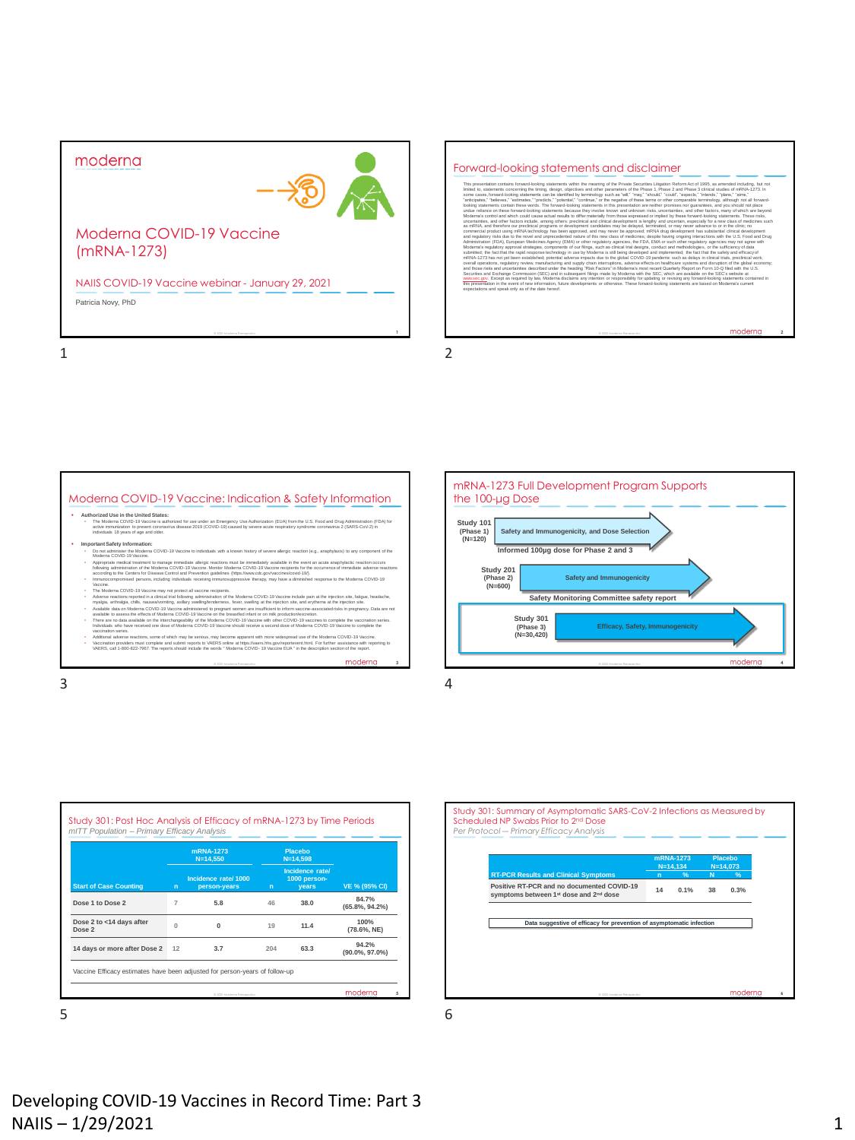## moderna



© 2020 Moderna Therapeutics **1**

## Moderna COVID-19 Vaccine (mRNA-1273)

Patricia Novy, PhD NAIIS COVID-19 Vaccine webinar - January 29, 2021

1 2

### Forward-looking statements and disclaimer

This presentation contains forward-kosing statements with the meaning of the Photo Societies Liquida in 2013, as a summed to contain the statement of the first of the Contains of the Photo Society and the control of the Co submitted; the fact that the rapid response technology in use by Moderna is still being developed and implemented; the fact that the safety and efficacy of<br>mRNA-1273 has not yet been established; potential adverse impacts ovatal question, regalator person manufactivo parti sapiri) characteristica de l'anticontra politica despois co<br>Securities and Eschangs Commission (SEC) and in subsequent lifega mode by Moderna who has explicable on the SE

© 2020 Moderna Therapeutics **2**